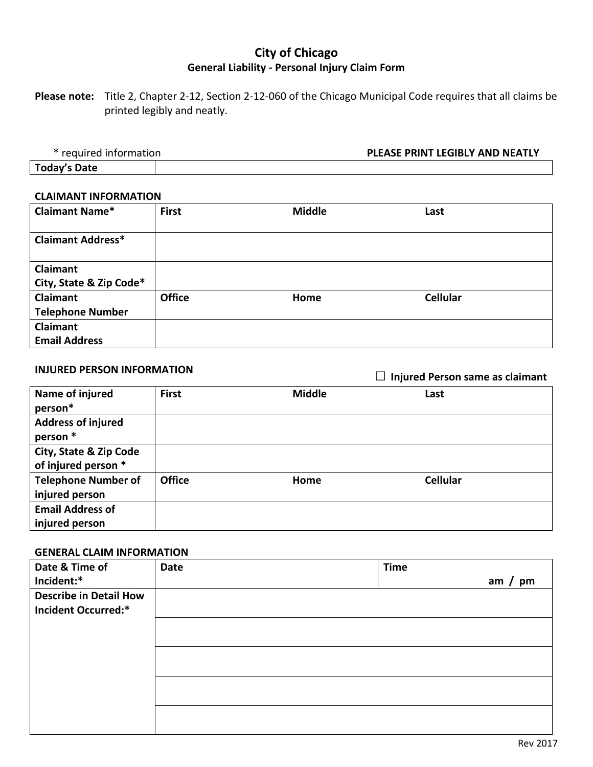# **City of Chicago General Liability - Personal Injury Claim Form**

**Please note:** Title 2, Chapter 2-12, Section 2-12-060 of the Chicago Municipal Code requires that all claims be printed legibly and neatly.

\* required information **PLEASE PRINT LEGIBLY AND NEATLY**

**Today's Date**

#### **CLAIMANT INFORMATION**

| <b>Claimant Name*</b>    | <b>First</b>  | <b>Middle</b> | Last            |
|--------------------------|---------------|---------------|-----------------|
| <b>Claimant Address*</b> |               |               |                 |
| <b>Claimant</b>          |               |               |                 |
| City, State & Zip Code*  |               |               |                 |
| Claimant                 | <b>Office</b> | Home          | <b>Cellular</b> |
| <b>Telephone Number</b>  |               |               |                 |
| Claimant                 |               |               |                 |
| <b>Email Address</b>     |               |               |                 |

**INJURED PERSON INFORMATION** □ **Injured Person same as claimant**

| Name of injured<br>person*            | <b>First</b>  | <b>Middle</b> | Last            |
|---------------------------------------|---------------|---------------|-----------------|
|                                       |               |               |                 |
| <b>Address of injured</b><br>person * |               |               |                 |
| City, State & Zip Code                |               |               |                 |
| of injured person *                   |               |               |                 |
| <b>Telephone Number of</b>            | <b>Office</b> | Home          | <b>Cellular</b> |
| injured person                        |               |               |                 |
| <b>Email Address of</b>               |               |               |                 |
| injured person                        |               |               |                 |

### **GENERAL CLAIM INFORMATION**

| Date & Time of                | <b>Date</b> | <b>Time</b> |
|-------------------------------|-------------|-------------|
| Incident:*                    |             | pm<br>am    |
| <b>Describe in Detail How</b> |             |             |
| <b>Incident Occurred:*</b>    |             |             |
|                               |             |             |
|                               |             |             |
|                               |             |             |
|                               |             |             |
|                               |             |             |
|                               |             |             |
|                               |             |             |
|                               |             |             |